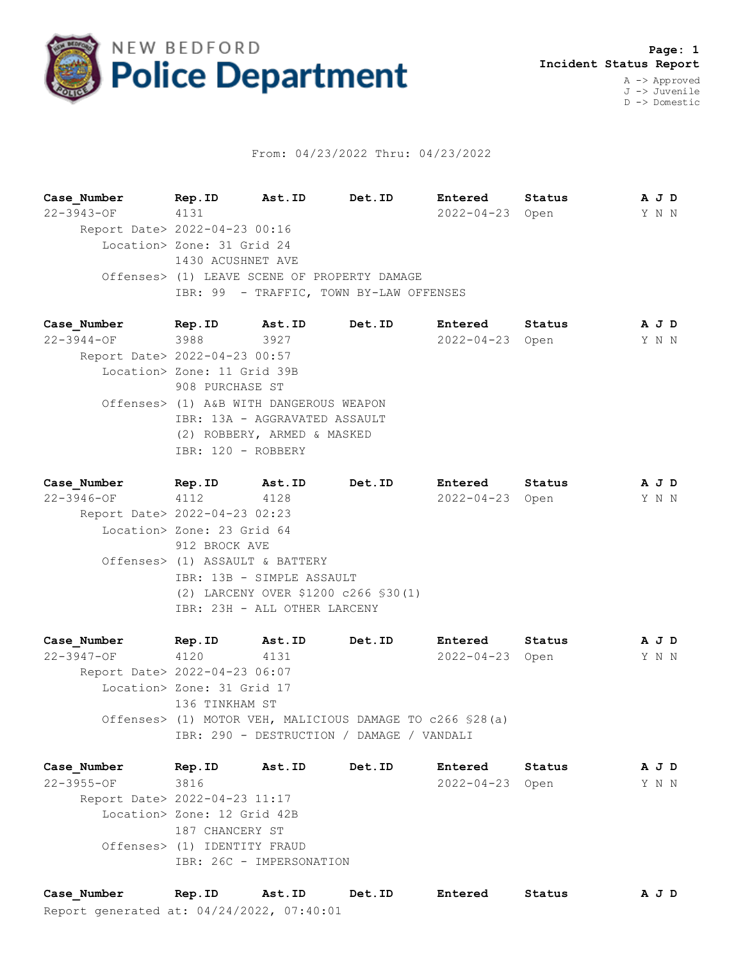

## From: 04/23/2022 Thru: 04/23/2022

**Case\_Number Rep.ID Ast.ID Det.ID Entered Status A J D** 22-3943-OF 4131 2022-04-23 Open Y N N Report Date> 2022-04-23 00:16 Location> Zone: 31 Grid 24 1430 ACUSHNET AVE Offenses> (1) LEAVE SCENE OF PROPERTY DAMAGE IBR: 99 - TRAFFIC, TOWN BY-LAW OFFENSES

**Case\_Number Rep.ID Ast.ID Det.ID Entered Status A J D** 22-3944-OF 3988 3927 2022-04-23 Open Y N N Report Date> 2022-04-23 00:57 Location> Zone: 11 Grid 39B 908 PURCHASE ST Offenses> (1) A&B WITH DANGEROUS WEAPON IBR: 13A - AGGRAVATED ASSAULT (2) ROBBERY, ARMED & MASKED IBR: 120 - ROBBERY

**Case\_Number Rep.ID Ast.ID Det.ID Entered Status A J D** 22-3946-OF 4112 4128 2022-04-23 Open Y N N Report Date> 2022-04-23 02:23 Location> Zone: 23 Grid 64 912 BROCK AVE Offenses> (1) ASSAULT & BATTERY IBR: 13B - SIMPLE ASSAULT (2) LARCENY OVER \$1200 c266 §30(1) IBR: 23H - ALL OTHER LARCENY

**Case\_Number Rep.ID Ast.ID Det.ID Entered Status A J D** 22-3947-OF 4120 4131 2022-04-23 Open Y N N Report Date> 2022-04-23 06:07 Location> Zone: 31 Grid 17 136 TINKHAM ST Offenses> (1) MOTOR VEH, MALICIOUS DAMAGE TO c266 §28(a) IBR: 290 - DESTRUCTION / DAMAGE / VANDALI

**Case\_Number Rep.ID Ast.ID Det.ID Entered Status A J D** 22-3955-OF 3816 2022-04-23 Open Y N N Report Date> 2022-04-23 11:17 Location> Zone: 12 Grid 42B 187 CHANCERY ST Offenses> (1) IDENTITY FRAUD IBR: 26C - IMPERSONATION

Report generated at: 04/24/2022, 07:40:01 **Case\_Number Rep.ID Ast.ID Det.ID Entered Status A J D**